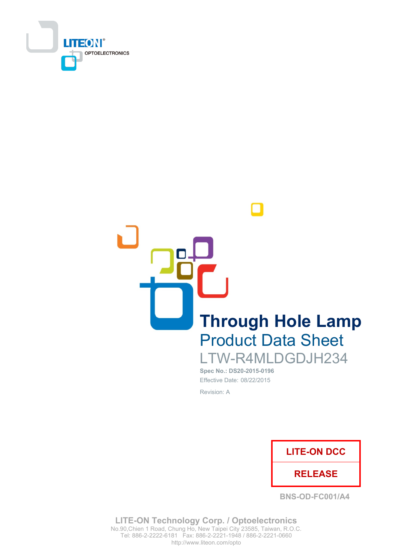

**Through Hole Lamp Product Data Sheet** LTW-R4MLDGDJH234

Spec No.: DS20-2015-0196 Effective Date: 08/22/2015 Revision: A



**BNS-OD-FC001/A4** 

**LITE-ON Technology Corp. / Optoelectronics** No.90, Chien 1 Road, Chung Ho, New Taipei City 23585, Taiwan, R.O.C. Tel: 886-2-2222-6181 Fax: 886-2-2221-1948 / 886-2-2221-0660 http://www.liteon.com/opto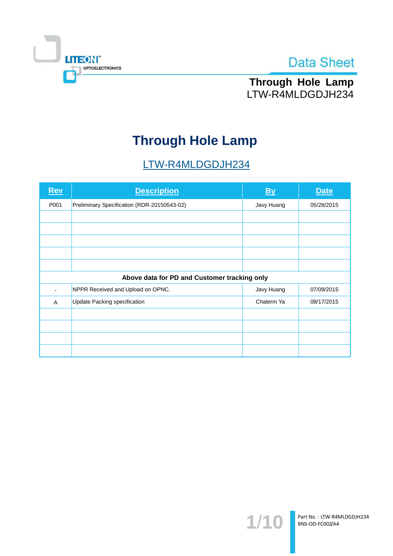



Through Hole Lamp LTW-R4MLDGDJH234

# **Through Hole Lamp**

# LTW-R4MLDGDJH234

| <b>Rev</b> | <b>Description</b>                           | <u>By</u>  | <b>Date</b> |  |  |  |
|------------|----------------------------------------------|------------|-------------|--|--|--|
| P001       | Preliminary Specification (RDR-20150543-02)  | Javy Huang | 05/28/2015  |  |  |  |
|            |                                              |            |             |  |  |  |
|            |                                              |            |             |  |  |  |
|            |                                              |            |             |  |  |  |
|            |                                              |            |             |  |  |  |
|            |                                              |            |             |  |  |  |
|            | Above data for PD and Customer tracking only |            |             |  |  |  |
|            | NPPR Received and Upload on OPNC.            | Javy Huang | 07/09/2015  |  |  |  |
| A          | Update Packing specification                 | Chalerm Ya | 08/17/2015  |  |  |  |
|            |                                              |            |             |  |  |  |
|            |                                              |            |             |  |  |  |
|            |                                              |            |             |  |  |  |
|            |                                              |            |             |  |  |  |

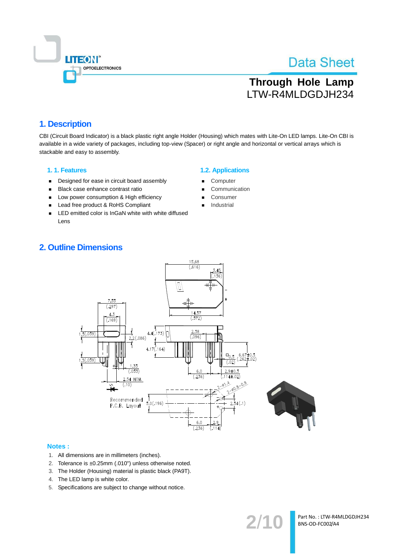

# **Through Hole Lamp** LTW-R4MLDGDJH234

## 1. Description

CBI (Circuit Board Indicator) is a black plastic right angle Holder (Housing) which mates with Lite-On LED lamps. Lite-On CBI is available in a wide variety of packages, including top-view (Spacer) or right angle and horizontal or vertical arrays which is stackable and easy to assembly.

#### 1.1. Features

- Designed for ease in circuit board assembly  $\blacksquare$
- Black case enhance contrast ratio  $\blacksquare$
- Low power consumption & High efficiency  $\blacksquare$
- $\blacksquare$ Lead free product & RoHS Compliant
- LED emitted color is InGaN white with white diffused  $\blacksquare$ Lens

## **1.2. Applications**

- Computer
- Communication
- Consumer
- Industrial

## **2. Outline Dimensions**



#### Notes:

- 1. All dimensions are in millimeters (inches).
- 2. Tolerance is ±0.25mm (.010") unless otherwise noted.
- 3. The Holder (Housing) material is plastic black (PA9T).
- 4. The LED lamp is white color.
- 5. Specifications are subject to change without notice.

Part No.: LTW-R4MLDGDJH234 BNS-OD-FC002/A4

 $2/1$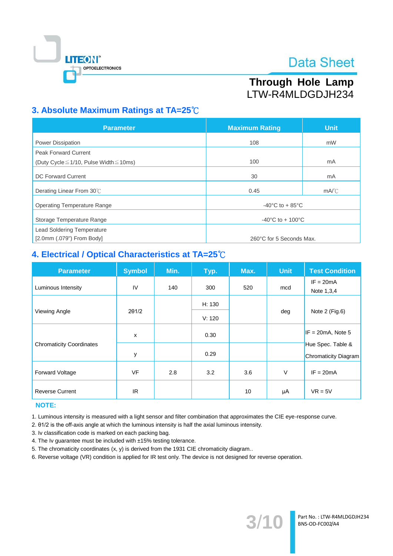

# Through Hole Lamp LTW-R4MLDGDJH234

# 3. Absolute Maximum Ratings at TA=25°C

| <b>Parameter</b>                                  | <b>Maximum Rating</b>                 | <b>Unit</b> |  |
|---------------------------------------------------|---------------------------------------|-------------|--|
| <b>Power Dissipation</b>                          | 108                                   | mW          |  |
| <b>Peak Forward Current</b>                       |                                       |             |  |
| (Duty Cycle $\leq$ 1/10, Pulse Width $\leq$ 10ms) | 100                                   | mA          |  |
| <b>DC Forward Current</b>                         | 30                                    | mA          |  |
| Derating Linear From 30°C                         | 0.45                                  | mA/C        |  |
| <b>Operating Temperature Range</b>                | -40 $^{\circ}$ C to + 85 $^{\circ}$ C |             |  |
| Storage Temperature Range                         | $-40^{\circ}$ C to + 100 $^{\circ}$ C |             |  |
| <b>Lead Soldering Temperature</b>                 |                                       |             |  |
| $[2.0$ mm $(.079")$ From Body]                    | 260°C for 5 Seconds Max.              |             |  |

# 4. Electrical / Optical Characteristics at TA=25°C

| <b>Parameter</b>                | <b>Symbol</b> | Min. | Typ.   | Max. | Unit | <b>Test Condition</b>                            |
|---------------------------------|---------------|------|--------|------|------|--------------------------------------------------|
| Luminous Intensity              | IV            | 140  | 300    | 520  | mcd  | $IF = 20mA$<br>Note 1,3,4                        |
|                                 |               |      | H: 130 |      | deg  | Note 2 (Fig.6)                                   |
| Viewing Angle                   | $2\theta$ 1/2 |      | V: 120 |      |      |                                                  |
|                                 | X             |      | 0.30   |      |      | $IF = 20mA$ , Note 5                             |
| <b>Chromaticity Coordinates</b> | у             |      | 0.29   |      |      | Hue Spec. Table &<br><b>Chromaticity Diagram</b> |
| <b>Forward Voltage</b>          | <b>VF</b>     | 2.8  | 3.2    | 3.6  | V    | $IF = 20mA$                                      |
| <b>Reverse Current</b>          | IR.           |      |        | 10   | μA   | $VR = 5V$                                        |

## **NOTE:**

1. Luminous intensity is measured with a light sensor and filter combination that approximates the CIE eye-response curve.

2. 01/2 is the off-axis angle at which the luminous intensity is half the axial luminous intensity.

3. Iv classification code is marked on each packing bag.

4. The Iv guarantee must be included with ±15% testing tolerance.

5. The chromaticity coordinates (x, y) is derived from the 1931 CIE chromaticity diagram..

6. Reverse voltage (VR) condition is applied for IR test only. The device is not designed for reverse operation.

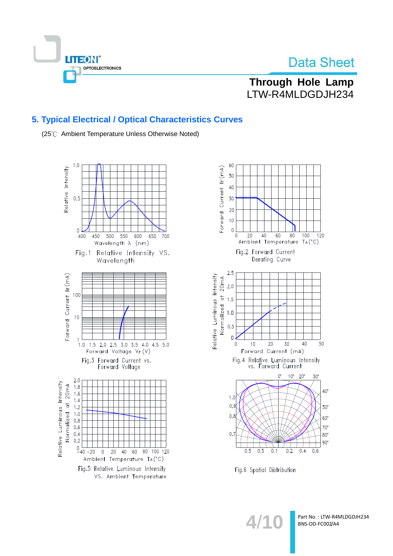

**Through Hole Lamp** LTW-R4MLDGDJH234

## 5. Typical Electrical / Optical Characteristics Curves

(25℃ Ambient Temperature Unless Otherwise Noted)





Fig.6 Spatial Distribution

 $4/1$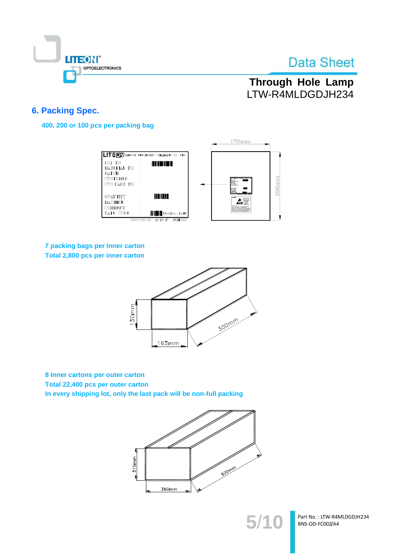

# **Through Hole Lamp** LTW-R4MLDGDJH234

## **6. Packing Spec.**

400, 200 or 100 pcs per packing bag

|                                                                             |                                                                | $170$ mm                                                                                                          |
|-----------------------------------------------------------------------------|----------------------------------------------------------------|-------------------------------------------------------------------------------------------------------------------|
|                                                                             | <b>ILITEON</b> LITE-ON ELECTRONICS (THAILAND) CO., LTD.        |                                                                                                                   |
| LOT NO<br>MATERIAL NO.<br><b>BATCH</b><br><b>CUSTOMER</b><br>CUS.PART NO. : | <b>THE REAL PROPERTY</b>                                       | $200$ mm<br>LOT 303<br><b>BATCH</b><br><b>COSTERE</b><br><b>CUSPARE NO</b><br><b>GETANOFIS</b>                    |
| QUANTITY<br><b>MACHINE</b>                                                  | <b>THE THEFT</b>                                               | LITHMET<br><b>ATTENTION</b><br><b>CA PARTIES</b><br>control stude<br><b>Product on context to state</b>           |
| COMMENT<br>DATE CODE                                                        | <b>HILLE</b> Pb-free/RoHS<br>2003/06/20<br>16:19:47<br>TLMP002 | Patients II do can be a box-time and<br>plate the continued sings and case delays<br>also declines some appartung |

## 7 packing bags per inner carton Total 2,800 pcs per inner carton



8 Inner cartons per outer carton Total 22,400 pcs per outer carton In every shipping lot, only the last pack will be non-full packing



Part No.: LTW-R4MLDGDJH234 BNS-OD-FC002/A4

 $5/1$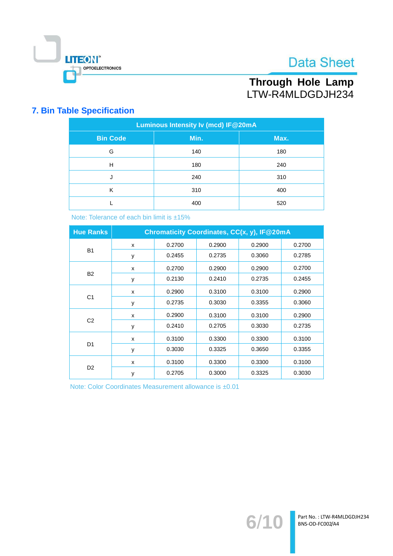

# Through Hole Lamp LTW-R4MLDGDJH234

## **7. Bin Table Specification**

| Luminous Intensity Iv (mcd) IF@20mA |      |      |  |  |  |
|-------------------------------------|------|------|--|--|--|
| <b>Bin Code</b>                     | Min. | Max. |  |  |  |
| G                                   | 140  | 180  |  |  |  |
| н                                   | 180  | 240  |  |  |  |
| J                                   | 240  | 310  |  |  |  |
| К                                   | 310  | 400  |  |  |  |
|                                     | 400  | 520  |  |  |  |

Note: Tolerance of each bin limit is ±15%

| <b>Hue Ranks</b> | Chromaticity Coordinates, CC(x, y), IF@20mA |        |        |        |        |
|------------------|---------------------------------------------|--------|--------|--------|--------|
|                  | X                                           | 0.2700 | 0.2900 | 0.2900 | 0.2700 |
| <b>B1</b>        | y                                           | 0.2455 | 0.2735 | 0.3060 | 0.2785 |
|                  | X                                           | 0.2700 | 0.2900 | 0.2900 | 0.2700 |
| <b>B2</b>        | y                                           | 0.2130 | 0.2410 | 0.2735 | 0.2455 |
|                  | x                                           | 0.2900 | 0.3100 | 0.3100 | 0.2900 |
| C <sub>1</sub>   | у                                           | 0.2735 | 0.3030 | 0.3355 | 0.3060 |
| C <sub>2</sub>   | X                                           | 0.2900 | 0.3100 | 0.3100 | 0.2900 |
|                  | y                                           | 0.2410 | 0.2705 | 0.3030 | 0.2735 |
| D <sub>1</sub>   | X                                           | 0.3100 | 0.3300 | 0.3300 | 0.3100 |
|                  | y                                           | 0.3030 | 0.3325 | 0.3650 | 0.3355 |
| D <sub>2</sub>   | X                                           | 0.3100 | 0.3300 | 0.3300 | 0.3100 |
|                  | y                                           | 0.2705 | 0.3000 | 0.3325 | 0.3030 |

Note: Color Coordinates Measurement allowance is ±0.01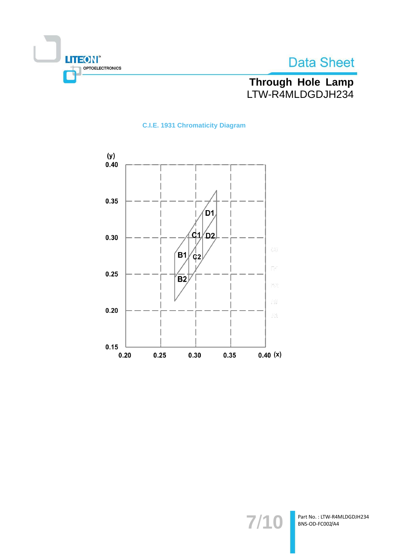



# Through Hole Lamp<br>LTW-R4MLDGDJH234

## **C.I.E. 1931 Chromaticity Diagram**



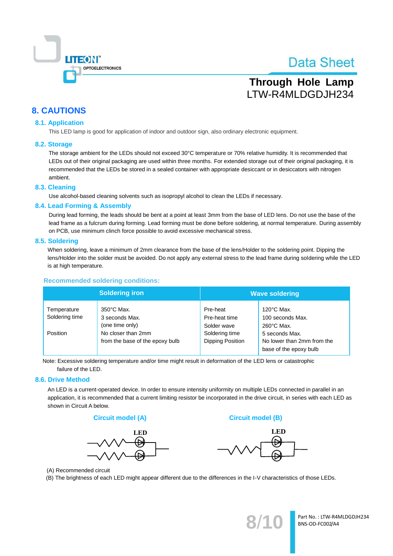

# **Through Hole Lamp** LTW-R4MLDGDJH234

## **8. CAUTIONS**

## **8.1. Application**

This LED lamp is good for application of indoor and outdoor sign, also ordinary electronic equipment.

#### 8.2. Storage

The storage ambient for the LEDs should not exceed 30°C temperature or 70% relative humidity. It is recommended that LEDs out of their original packaging are used within three months. For extended storage out of their original packaging, it is recommended that the LEDs be stored in a sealed container with appropriate desiccant or in desiccators with nitrogen ambient.

#### 8.3. Cleaning

Use alcohol-based cleaning solvents such as isopropyl alcohol to clean the LEDs if necessary.

#### 8.4. Lead Forming & Assembly

During lead forming, the leads should be bent at a point at least 3mm from the base of LED lens. Do not use the base of the lead frame as a fulcrum during forming. Lead forming must be done before soldering, at normal temperature. During assembly on PCB, use minimum clinch force possible to avoid excessive mechanical stress.

#### 8.5. Soldering

When soldering, leave a minimum of 2mm clearance from the base of the lens/Holder to the soldering point. Dipping the lens/Holder into the solder must be avoided. Do not apply any external stress to the lead frame during soldering while the LED is at high temperature.

#### **Recommended soldering conditions:**

| <b>Soldering iron</b>                     |                                                                                 | <b>Wave soldering</b>                    |                                                                        |  |
|-------------------------------------------|---------------------------------------------------------------------------------|------------------------------------------|------------------------------------------------------------------------|--|
| Temperature<br>Soldering time<br>Position | $350^{\circ}$ C Max.<br>3 seconds Max.<br>(one time only)<br>No closer than 2mm | Pre-heat<br>Pre-heat time<br>Solder wave | $120^{\circ}$ C Max.<br>100 seconds Max.<br>$260^{\circ}$ C Max.       |  |
|                                           | from the base of the epoxy bulb                                                 | Soldering time<br>Dipping Position       | 5 seconds Max.<br>No lower than 2mm from the<br>base of the epoxy bulb |  |

Note: Excessive soldering temperature and/or time might result in deformation of the LED lens or catastrophic failure of the LED.

#### 8.6. Drive Method

An LED is a current-operated device. In order to ensure intensity uniformity on multiple LEDs connected in parallel in an application, it is recommended that a current limiting resistor be incorporated in the drive circuit, in series with each LED as shown in Circuit A below.





**Circuit model (B)** 



(A) Recommended circuit

(B) The brightness of each LED might appear different due to the differences in the I-V characteristics of those LEDs.

Part No.: LTW-R4MLDGDJH234 BNS-OD-FC002/A4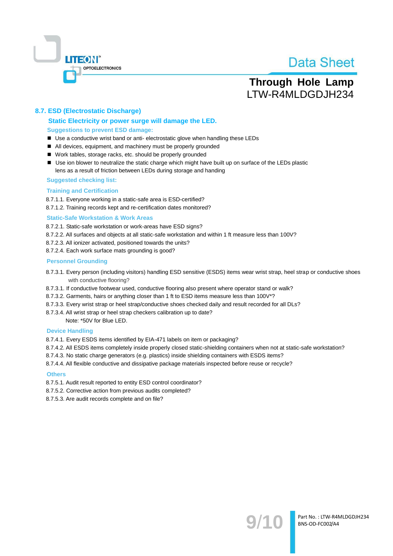

# **Through Hole Lamp** LTW-R4MLDGDJH234

## 8.7. ESD (Electrostatic Discharge)

### Static Electricity or power surge will damage the LED. **Suggestions to prevent ESD damage:**

- Use a conductive wrist band or anti- electrostatic glove when handling these LEDs
- All devices, equipment, and machinery must be properly grounded
- Work tables, storage racks, etc. should be properly grounded
- Use ion blower to neutralize the static charge which might have built up on surface of the LEDs plastic lens as a result of friction between LEDs during storage and handing

#### **Suggested checking list:**

#### **Training and Certification**

8.7.1.1. Everyone working in a static-safe area is ESD-certified?

8.7.1.2. Training records kept and re-certification dates monitored?

#### **Static-Safe Workstation & Work Areas**

8.7.2.1. Static-safe workstation or work-areas have ESD signs?

- 8.7.2.2. All surfaces and objects at all static-safe workstation and within 1 ft measure less than 100V?
- 8.7.2.3. All ionizer activated, positioned towards the units?
- 8.7.2.4. Each work surface mats grounding is good?

#### **Personnel Grounding**

- 8.7.3.1. Every person (including visitors) handling ESD sensitive (ESDS) items wear wrist strap, heel strap or conductive shoes with conductive flooring?
- 8.7.3.1. If conductive footwear used, conductive flooring also present where operator stand or walk?
- 8.7.3.2. Garments, hairs or anything closer than 1 ft to ESD items measure less than 100V\*?
- 8.7.3.3. Every wrist strap or heel strap/conductive shoes checked daily and result recorded for all DLs?
- 8.7.3.4. All wrist strap or heel strap checkers calibration up to date?

Note: \*50V for Blue LED.

#### **Device Handling**

8.7.4.1. Every ESDS items identified by EIA-471 labels on item or packaging?

- 8.7.4.2. All ESDS items completely inside properly closed static-shielding containers when not at static-safe workstation?
- 8.7.4.3. No static charge generators (e.g. plastics) inside shielding containers with ESDS items?
- 8.7.4.4. All flexible conductive and dissipative package materials inspected before reuse or recycle?

#### **Others**

- 8.7.5.1. Audit result reported to entity ESD control coordinator?
- 8.7.5.2. Corrective action from previous audits completed?
- 8.7.5.3. Are audit records complete and on file?